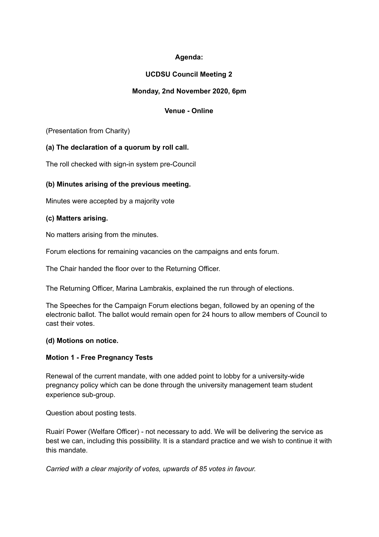# **Agenda:**

# **UCDSU Council Meeting 2**

### **Monday, 2nd November 2020, 6pm**

# **Venue - Online**

(Presentation from Charity)

### **(a) The declaration of a quorum by roll call.**

The roll checked with sign-in system pre-Council

### **(b) Minutes arising of the previous meeting.**

Minutes were accepted by a majority vote

### **(c) Matters arising.**

No matters arising from the minutes.

Forum elections for remaining vacancies on the campaigns and ents forum.

The Chair handed the floor over to the Returning Officer.

The Returning Officer, Marina Lambrakis, explained the run through of elections.

The Speeches for the Campaign Forum elections began, followed by an opening of the electronic ballot. The ballot would remain open for 24 hours to allow members of Council to cast their votes.

### **(d) Motions on notice.**

### **Motion 1 - Free Pregnancy Tests**

Renewal of the current mandate, with one added point to lobby for a university-wide pregnancy policy which can be done through the university management team student experience sub-group.

Question about posting tests.

Ruairí Power (Welfare Officer) - not necessary to add. We will be delivering the service as best we can, including this possibility. It is a standard practice and we wish to continue it with this mandate.

*Carried with a clear majority of votes, upwards of 85 votes in favour.*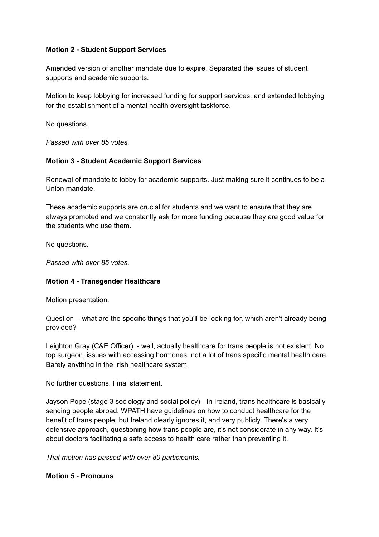### **Motion 2 - Student Support Services**

Amended version of another mandate due to expire. Separated the issues of student supports and academic supports.

Motion to keep lobbying for increased funding for support services, and extended lobbying for the establishment of a mental health oversight taskforce.

No questions.

*Passed with over 85 votes.*

### **Motion 3 - Student Academic Support Services**

Renewal of mandate to lobby for academic supports. Just making sure it continues to be a Union mandate.

These academic supports are crucial for students and we want to ensure that they are always promoted and we constantly ask for more funding because they are good value for the students who use them.

No questions.

*Passed with over 85 votes.*

# **Motion 4 - Transgender Healthcare**

Motion presentation.

Question - what are the specific things that you'll be looking for, which aren't already being provided?

Leighton Gray (C&E Officer) - well, actually healthcare for trans people is not existent. No top surgeon, issues with accessing hormones, not a lot of trans specific mental health care. Barely anything in the Irish healthcare system.

No further questions. Final statement.

Jayson Pope (stage 3 sociology and social policy) - In Ireland, trans healthcare is basically sending people abroad. WPATH have guidelines on how to conduct healthcare for the benefit of trans people, but Ireland clearly ignores it, and very publicly. There's a very defensive approach, questioning how trans people are, it's not considerate in any way. It's about doctors facilitating a safe access to health care rather than preventing it.

*That motion has passed with over 80 participants.*

### **Motion 5** - **Pronouns**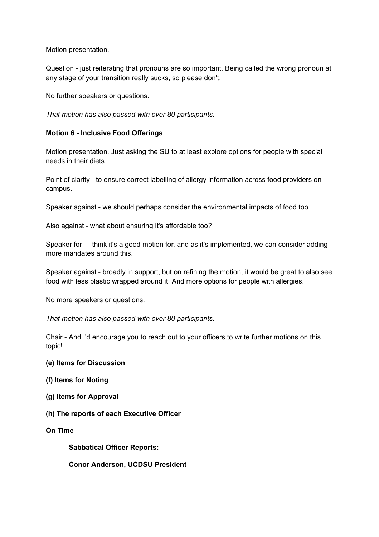Motion presentation.

Question - just reiterating that pronouns are so important. Being called the wrong pronoun at any stage of your transition really sucks, so please don't.

No further speakers or questions.

*That motion has also passed with over 80 participants.*

#### **Motion 6 - Inclusive Food Offerings**

Motion presentation. Just asking the SU to at least explore options for people with special needs in their diets.

Point of clarity - to ensure correct labelling of allergy information across food providers on campus.

Speaker against - we should perhaps consider the environmental impacts of food too.

Also against - what about ensuring it's affordable too?

Speaker for - I think it's a good motion for, and as it's implemented, we can consider adding more mandates around this.

Speaker against - broadly in support, but on refining the motion, it would be great to also see food with less plastic wrapped around it. And more options for people with allergies.

No more speakers or questions.

*That motion has also passed with over 80 participants.*

Chair - And I'd encourage you to reach out to your officers to write further motions on this topic!

#### **(e) Items for Discussion**

- **(f) Items for Noting**
- **(g) Items for Approval**
- **(h) The reports of each Executive Officer**
- **On Time**

**Sabbatical Officer Reports:**

**Conor Anderson, UCDSU President**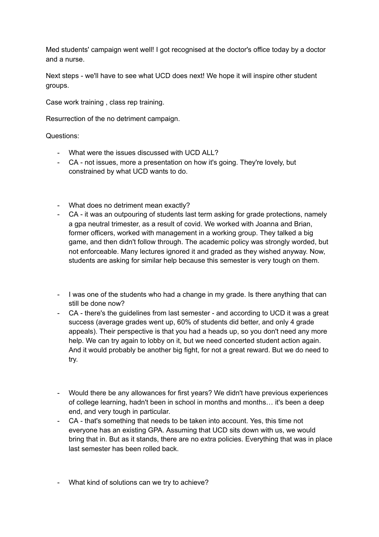Med students' campaign went well! I got recognised at the doctor's office today by a doctor and a nurse.

Next steps - we'll have to see what UCD does next! We hope it will inspire other student groups.

Case work training , class rep training.

Resurrection of the no detriment campaign.

Questions:

- What were the issues discussed with UCD ALL?
- CA not issues, more a presentation on how it's going. They're lovely, but constrained by what UCD wants to do.
- What does no detriment mean exactly?
- CA it was an outpouring of students last term asking for grade protections, namely a gpa neutral trimester, as a result of covid. We worked with Joanna and Brian, former officers, worked with management in a working group. They talked a big game, and then didn't follow through. The academic policy was strongly worded, but not enforceable. Many lectures ignored it and graded as they wished anyway. Now, students are asking for similar help because this semester is very tough on them.
- I was one of the students who had a change in my grade. Is there anything that can still be done now?
- CA there's the guidelines from last semester and according to UCD it was a great success (average grades went up, 60% of students did better, and only 4 grade appeals). Their perspective is that you had a heads up, so you don't need any more help. We can try again to lobby on it, but we need concerted student action again. And it would probably be another big fight, for not a great reward. But we do need to try.
- Would there be any allowances for first years? We didn't have previous experiences of college learning, hadn't been in school in months and months… it's been a deep end, and very tough in particular.
- CA that's something that needs to be taken into account. Yes, this time not everyone has an existing GPA. Assuming that UCD sits down with us, we would bring that in. But as it stands, there are no extra policies. Everything that was in place last semester has been rolled back.

- What kind of solutions can we try to achieve?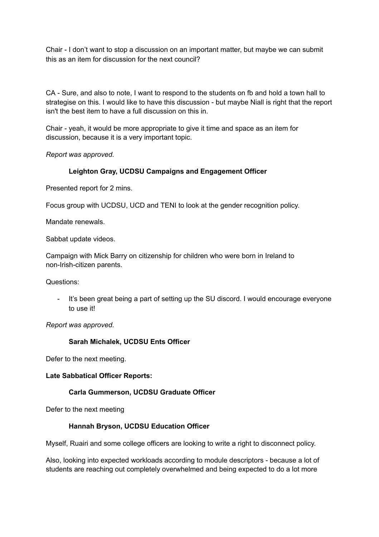Chair - I don't want to stop a discussion on an important matter, but maybe we can submit this as an item for discussion for the next council?

CA - Sure, and also to note, I want to respond to the students on fb and hold a town hall to strategise on this. I would like to have this discussion - but maybe Niall is right that the report isn't the best item to have a full discussion on this in.

Chair - yeah, it would be more appropriate to give it time and space as an item for discussion, because it is a very important topic.

*Report was approved.*

# **Leighton Gray, UCDSU Campaigns and Engagement Officer**

Presented report for 2 mins.

Focus group with UCDSU, UCD and TENI to look at the gender recognition policy.

Mandate renewals.

Sabbat update videos.

Campaign with Mick Barry on citizenship for children who were born in Ireland to non-Irish-citizen parents.

Questions:

It's been great being a part of setting up the SU discord. I would encourage everyone to use it!

*Report was approved.*

### **Sarah Michalek, UCDSU Ents Officer**

Defer to the next meeting.

### **Late Sabbatical Officer Reports:**

### **Carla Gummerson, UCDSU Graduate Officer**

Defer to the next meeting

### **Hannah Bryson, UCDSU Education Officer**

Myself, Ruairi and some college officers are looking to write a right to disconnect policy.

Also, looking into expected workloads according to module descriptors - because a lot of students are reaching out completely overwhelmed and being expected to do a lot more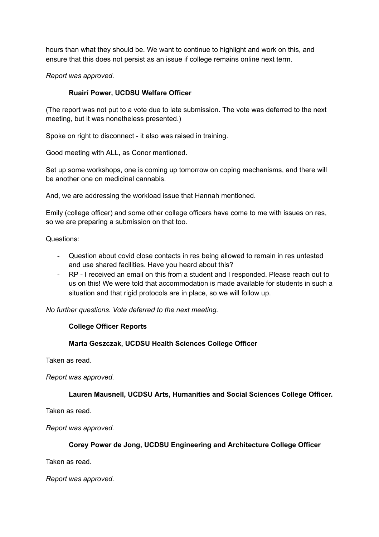hours than what they should be. We want to continue to highlight and work on this, and ensure that this does not persist as an issue if college remains online next term.

*Report was approved.*

### **Ruairí Power, UCDSU Welfare Officer**

(The report was not put to a vote due to late submission. The vote was deferred to the next meeting, but it was nonetheless presented.)

Spoke on right to disconnect - it also was raised in training.

Good meeting with ALL, as Conor mentioned.

Set up some workshops, one is coming up tomorrow on coping mechanisms, and there will be another one on medicinal cannabis.

And, we are addressing the workload issue that Hannah mentioned.

Emily (college officer) and some other college officers have come to me with issues on res, so we are preparing a submission on that too.

Questions:

- Question about covid close contacts in res being allowed to remain in res untested and use shared facilities. Have you heard about this?
- RP I received an email on this from a student and I responded. Please reach out to us on this! We were told that accommodation is made available for students in such a situation and that rigid protocols are in place, so we will follow up.

*No further questions. Vote deferred to the next meeting.*

### **College Officer Reports**

### **Marta Geszczak, UCDSU Health Sciences College Officer**

Taken as read.

*Report was approved.*

**Lauren Mausnell, UCDSU Arts, Humanities and Social Sciences College Officer.**

Taken as read.

*Report was approved.*

### **Corey Power de Jong, UCDSU Engineering and Architecture College Officer**

Taken as read.

*Report was approved.*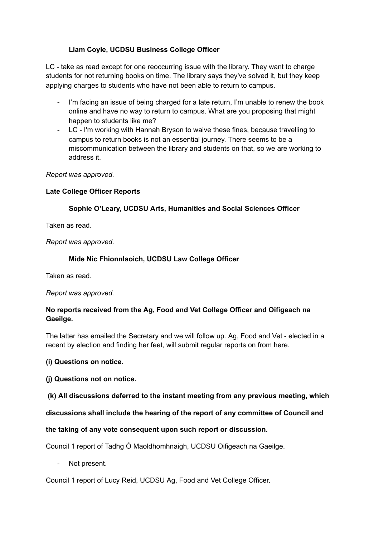# **Liam Coyle, UCDSU Business College Officer**

LC - take as read except for one reoccurring issue with the library. They want to charge students for not returning books on time. The library says they've solved it, but they keep applying charges to students who have not been able to return to campus.

- I'm facing an issue of being charged for a late return, I'm unable to renew the book online and have no way to return to campus. What are you proposing that might happen to students like me?
- LC I'm working with Hannah Bryson to waive these fines, because travelling to campus to return books is not an essential journey. There seems to be a miscommunication between the library and students on that, so we are working to address it.

### *Report was approved.*

### **Late College Officer Reports**

# **Sophie O'Leary, UCDSU Arts, Humanities and Social Sciences Officer**

Taken as read.

*Report was approved.*

### **Míde Nic Fhionnlaoich, UCDSU Law College Officer**

Taken as read.

### *Report was approved.*

# **No reports received from the Ag, Food and Vet College Officer and Oifigeach na Gaeilge.**

The latter has emailed the Secretary and we will follow up. Ag, Food and Vet - elected in a recent by election and finding her feet, will submit regular reports on from here.

# **(i) Questions on notice.**

# **(j) Questions not on notice.**

# **(k) All discussions deferred to the instant meeting from any previous meeting, which**

# **discussions shall include the hearing of the report of any committee of Council and**

# **the taking of any vote consequent upon such report or discussion.**

Council 1 report of Tadhg Ó Maoldhomhnaigh, UCDSU Oifigeach na Gaeilge.

- Not present.

Council 1 report of Lucy Reid, UCDSU Ag, Food and Vet College Officer.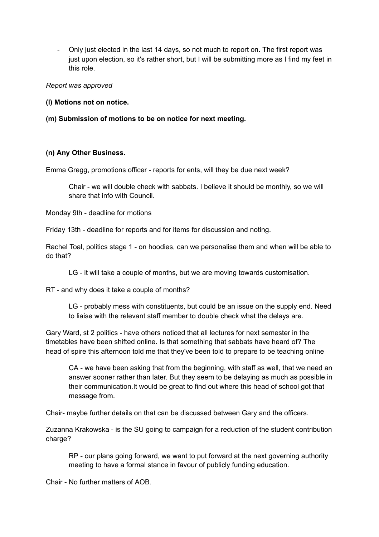- Only just elected in the last 14 days, so not much to report on. The first report was just upon election, so it's rather short, but I will be submitting more as I find my feet in this role.

#### *Report was approved*

#### **(l) Motions not on notice.**

### **(m) Submission of motions to be on notice for next meeting.**

### **(n) Any Other Business.**

Emma Gregg, promotions officer - reports for ents, will they be due next week?

Chair - we will double check with sabbats. I believe it should be monthly, so we will share that info with Council.

Monday 9th - deadline for motions

Friday 13th - deadline for reports and for items for discussion and noting.

Rachel Toal, politics stage 1 - on hoodies, can we personalise them and when will be able to do that?

LG - it will take a couple of months, but we are moving towards customisation.

RT - and why does it take a couple of months?

LG - probably mess with constituents, but could be an issue on the supply end. Need to liaise with the relevant staff member to double check what the delays are.

Gary Ward, st 2 politics - have others noticed that all lectures for next semester in the timetables have been shifted online. Is that something that sabbats have heard of? The head of spire this afternoon told me that they've been told to prepare to be teaching online

CA - we have been asking that from the beginning, with staff as well, that we need an answer sooner rather than later. But they seem to be delaying as much as possible in their communication.It would be great to find out where this head of school got that message from.

Chair- maybe further details on that can be discussed between Gary and the officers.

Zuzanna Krakowska - is the SU going to campaign for a reduction of the student contribution charge?

RP - our plans going forward, we want to put forward at the next governing authority meeting to have a formal stance in favour of publicly funding education.

Chair - No further matters of AOB.